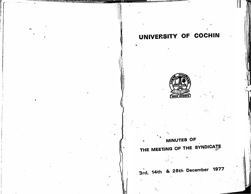# UNIVERSITY OF COCHIN



# MINUTES OF THE MEETING OF THE SYNDICATE

3rd, 14th & 28th December 1977

 $\alpha$ 

 $\ddot{\Omega}$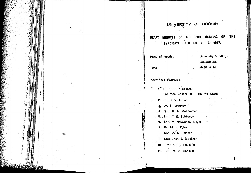## UNIVERSITY OF COCHIN.

DRAFT MINUTES OF THE 90th MEETING OF **THE**  $\cdot$ SYNDICATE HELD ON 3-12-1977.

Place of meeting

 $\mathcal{L}_{\text{max}}$ 

**Contract Contract** 

: University Buildings, Tripunithura.  $: 10.30$  A. M.

 $\mathbf{r}$ 

 $\mathcal{L}^{\text{max}}$  and  $\mathcal{L}^{\text{max}}$ 

**Time** 

#### **Members Present:**

| 1. Dr. C. P. Kuriakose<br>Pro Vice Chancellor (in the Chair) |  |
|--------------------------------------------------------------|--|
| 2. Dr. C. V. Kurian                                          |  |
| 3. Dr. S. Vasudev                                            |  |
| 4. Shri. K. A. Mohammed                                      |  |
| <b>6. Shri. T. K. Subbayyan</b><br>$5 - 10 = 12$             |  |
| 6. Shri. V. Narayanan Nayat                                  |  |
| 7. Dr. M. V. Pylee                                           |  |
| 8. Shri. A. K. Hameed                                        |  |
| 9. Shri. Jose. T. Mookken                                    |  |
| 10. Prof. C. T. Benjamin                                     |  |
| 11. Shri. V. P. Marikkar                                     |  |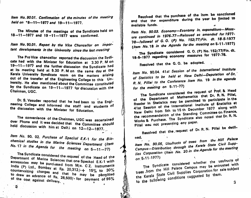Item No. 90.01. Confirmation of the minutes of the meeting held on 18-11-1977 and 19-11-1977.

The Minutes of the meetings of the Syndicate held on 18-11-1977 and 19-11-1977 were confirmed.

Ilem No. 90.01. Report by the Vice Chancellor on important developments in the University since the last meeting

The Pro Vice chancellor reported the discussion the Sydicate had with the Minister for Education at 3.30 P. M on 19-11-1977 and the further discussion the Syndicate had at its meeting held at 5.30 P. M on the same day at the Kerala University Syndicate room on the matters arising out of the transfer of the Engineering College to this University. He also mentioned about the Committee constituted by the Syndicate on 19-11-1977 for discussion with the Chairman, UGC.

Dr. S. Vasudev reported that he had been to the Engineering Collega and informed the staff and students of the discussion with the Minister for Education.

The convenience of the Chairmen, UGC was ascertained over Phone and it was decided that the Committee should hold discussion with him at Delt.i on  $12-12-1977$ .

Item No. 90. 02. Purchase of Speckol E.K-1 for the Biochemical studies in the Marine Sciences Department (Item No. 17 in the Agenda for the meeting on 5-11-77)

The Syndicate considered the request of the Head of the Department of Marine Sciences that one Speckol E.K-1 with accessories may be purchased from M/s. CZ. Instruments India (P) Ltd., Bombay at Rs.  $20,312/- + 15\%$  to  $30\%$ countervaiting charges and that he may be permitted to draw an advance of Rs. 26,500/- for payment of 95% of the cost against delivery.

Resolved that the purchase of the item be sanctioned and that the expenditure during the year be limited to available funds.

Item No. 90.03. Economy-Economy in. expenditure-Measure continued in 1976-77-Reissued as amended for 1977-78-followal of G.O. (P) No. 152|77|Fin. dt. 18-5-1977 (Item No. 18 in the Agenda for the meeting on 5-11-1977)

The Syndicate considered G.O. (P) No. 152/77/Fin. dt. 18-5-1977 regarding economy measures for 1977-78.

Resolved that the G.O. be adopted.

Item No. 90.04. 41st Session of the International Institute of Statistics to be held at New Delhi-Deputation of Dr. R. N. Pillai to the Conference Item No. 19 in the agenda for the meeting on 5-11-77)

The Syndicate considered the request of Prof. & Head of the Department of Mathematics that Dr. R. N. Pillai, Reader in Statistics may be permitted to participate in the 41st Session of the International Institute of Statistics at New Delhi from 5th to 15 th December 1977 along with the recommendation of the Standing Committee on Finance, Works & Purchase. The Syndicate also noted that Dr. R. N. Pillai was not presenting any paper.

Resolved that the request of Dr. R. N. Pillai be decli-

ned. Item No. 90.05, Usufructs of trees from the Hill Palace Campus-Distribution through the Kerala State Civil Supplies Corporation (Item No. 20 in the Agenda for the meeting  $on 5-11-1977$ 

The Syndicate considered whether the usufructs of trees from the Hill Palace Campus may be entrusted with the Kerala State Civil Supplies Corporation for sale subject to the following conditions suggested by them. З.

 $\mathbf{2}$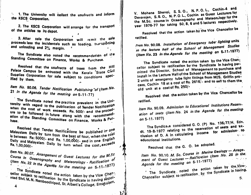<sup>14</sup> 1. The University will collect the usufructs and inform the KSCS Corporation.

2. The KSCS Corporation will arrange for the transport of the articles to its depot.

3. After sale the Corporation will remit the sale proceeds less the incidentals such as loading, transporting and unloading and 2% margin.

The Syndicate also noted the recommendation of the Standing Committee on Finance, Works & Purchase.

Resolved that the usufructs of trees from the Hill Palace Campus be entrusted with the Kerala 'State Civil Supplies Corporation for sale subject to conditions specified by them.

Item No. 90.06. Tender Notification Publishing 'of (Item No. 21 in the Agenda for the meeting on 5-11-77)

The Syndicate noted the practice prevalent in the Uni-Versity with regard to the publication of Tender Notification When the cost of work exceeds. Rs. 500/- and the procedure to be followed in future along with the recommendation of the Standing Committee on Finance, Works & Pur-

Resolved that Tender Notifications be published in one Malayalam Daily by turn from the best of four, when the cost is between Rs: 5000/- and Rs. 1,00,000/- and in one English Daily and Malayalam Daily by turn when the cost, exceeds

Item No. 90.07. Arrangement of Guest Lectures for the M.SC Course in Oceanography and Meteorology - Ratification of (Item No. 22 in the Agenda for the meeting on 5-11-1977)

The Syndicate noted the action taken by the Vice Chans gellor subject to ratification by the wind subject to ratification by the Syndicate in having appoir nted Shri. M. N. Namboodiripad, St. Albert's College, Ernakulam,

V. Mohana Shenoi, S.S.O., N.P.O.L., Cochin.4 and Devarajan, S.S.O., N.P.O.L., Cochin as Guest Lecturers for the M.Sc. course in Oceanography and Meteorclogy for the year 1976-77 for taking 50, 8, 6 and 5 lectures respectively.

Resolved that the action taken by the Vice Chancellor be ratified.

Itam No. 90.08. Installation of Emergency tube lighting units in the lecture hall of the School of Management Studies (Item No. 23 in the Agenda for the meeting on 5-11-1977)

The Syndicate noted the action taken by the Vice Chancellor subject to ratification by the Syndicate in having permitted the Director, School of Management to purchase and install in the Lecture Hall of the School of Management Studies 2 units of emergency tube light fittings from M/S. Griffin process, Cochin 18 at a cost of Rs. 2616/- and to sell to them the old unit at a cost of Rs. 250/-

Resolved that the action taken by the Vice Chancellor be ratified.

Item No. 90.09. Admission to Educational Institutions Reservation of seats (Item No. 24 in the Agenda for the meetingon 5-11.1977)

The Syndicate considered G.O. (P) No. 135/77/H. Edn. dt. 19-8-1977 relating to the reservation of seats and exclusion of D. A in calculating income for admissionstrom educational institutions.

Resolved that the G. O. be adopted.

 $\mathbf{X}^{\prime}$ 

Item No. 90.10. M. Sc. Course in Marine Geology - Arragement of Guest Lectures - Ratification (Item No. 25 in the Agenda for the meeting on 5-11-1977)

" The Syndicate noted the action taken by the Vice-Chancellor subject to ratification, by the Syndicate in having.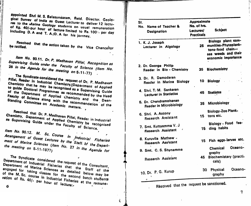| appointed Shri M. S. Balasundaram, Retd. Director, Geolo-<br>gical Survey of India as Guest Lecturer to deliver 12 lectu-<br>res to the Marine Geology students on usual remuneration<br>of Kg. 40/-per hour of lecture limited to Rs. 100/- per day<br>including D. A and T. A./D. A for his journey. | SI.<br>No. Name of Teacher &<br><b>Designation</b>            | Approximate<br>No. of hrs.<br>Lectures/<br><b>Practicals</b> | <b>Subject</b>                                                                                                  |
|--------------------------------------------------------------------------------------------------------------------------------------------------------------------------------------------------------------------------------------------------------------------------------------------------------|---------------------------------------------------------------|--------------------------------------------------------------|-----------------------------------------------------------------------------------------------------------------|
| Resolved that the action taken by the Vice Chancellor<br>be ratified.                                                                                                                                                                                                                                  | 1. K. J. Joseph<br>Lecturer in Algology                       |                                                              | Biology plant com-<br>25 munities-Phytoplank-<br>tons-food chain-<br>sea weeds and their<br>economic importance |
| Item No. 90.11. Dr. P. Madhavan Pillai, Recognition as<br>Supervising Guide under the Faculty of Science (Item No.<br>$26$ in the Agenda for the meeting on $5-11-77$ )                                                                                                                                | 2. Dr. George Philip<br>Reader in Bio - Chemistry             | 35                                                           | <b>Biochemistry</b>                                                                                             |
| The Syndicate considered the request of Dr. P. Madhavan<br>Pillai, Reader in Industrial Chemistry, Department of Applied                                                                                                                                                                               | 3. Dr. R. Damodaran<br>Reader in Marine Biology               |                                                              | 10 Biology                                                                                                      |
| Chemistry that he may be recognised as a Supervising Guide<br>to guide Doctoral Programmes as recommended by the Head<br>of the Department of Applied Chemistry and the Dean.                                                                                                                          | 4. Shri. T. M. Sankaran<br><b>Lecturer in Statistics</b>      |                                                              | 45 Statistcs                                                                                                    |
| Faculty of Science along with the recommendation of the<br>Standing Committee on Academic matters.                                                                                                                                                                                                     | 5. Dr. Chandramohanan<br><b>Reader in Microbiology</b>        | 35                                                           | Microbiology                                                                                                    |
| Resolved that Dr. P. Madhavan Pillai, Reader in Industrial<br>Chemistry, Department of Applied Chemistry be recognised                                                                                                                                                                                 | 6. Shri. A. Antony<br>Research Assistant                      |                                                              | Biology-Zoo Plank-<br>15 tons etc.                                                                              |
| as Supervising Guide under the Faculty of Science.                                                                                                                                                                                                                                                     | 7. Smt. Kuttyamma V. J<br>$\mathcal{L}$<br>Research Assistant |                                                              | Biology - Food fee-<br>15 ding habits                                                                           |
| Item No. 90.12. M. Sc. Course In Industrial Fisheries<br>Amangement of Guest Lectures by the "Staff, of the Depart-<br>ment of Marine Sciences (Item No. 27 in the Agenda for                                                                                                                          | 8. Kuruvila Mathew .<br>Research Assistant                    |                                                              | 15 Fish eggs-larvae etc.                                                                                        |
|                                                                                                                                                                                                                                                                                                        | 9. Smt. C. S. Shynamma                                        |                                                              | Oceano-<br><b>Chemical</b><br>graphy                                                                            |
| The Syndicate considered the request of the Consultant,                                                                                                                                                                                                                                                | Research Assistant                                            | 45                                                           | <b>Biochemistary (practi-</b><br>cals)                                                                          |
| Department of Industrial Fisileries that the Staff of the<br>Department of Marine Sciences as detailed below may be<br>engaged for taking classes for the second batch students                                                                                                                        | 10. Dr. P. G. Kurup                                           | 30                                                           | Oceano-<br><b>Physical</b><br>graphy                                                                            |
| of the M.Sc. course in Industrial Fisheries at the remune-<br>ration of Rs. 40/- per hour of lecture:<br>$\mathbf 6$                                                                                                                                                                                   | Resolved that the request be sanctioned.                      |                                                              |                                                                                                                 |

 $\pmb{\dot{\psi}}$ 

 $\overline{\mathbf{1}}$ 

 $\hat{\mathbf{v}}$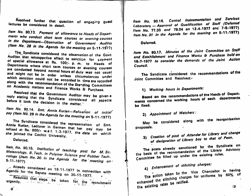Resolved further that question of engaging guest lectures be considered in detail.

Item No. 90.13. Payment of allowance to Hoads of Departments who conduct short term courses or evening courses in the Department-Observation of Government Auditor (Item No. 28 in the Agenda for the meeting on 5-11-1977)

The Syndicate considered the observation of the Govt. Auditor that retrospective effect to sanction for payment of special allowance at Rs. 100/- p. m. to Heads of Departments where short term courses or evening courses are conducted beyond normal hours of duty was not usual and might not be in order unless circumstances under which sanction could not be accorded in time are recorded along with the recommendation of the Standing Committees on Academic matters and Finance Works & Purchase.

Resolved that the Government Auditor may be given a reply stating that the Syndicate considered all aspects before it took the decision in the matter.

Item No. 90.14. Smt. Annie Kurian-Refixation of initial pay (Item No. 29 in the Agenda for the maeting on 5-11-1977)

The Syndicate considered the representation of Smt. Annie Kurian, Lecturer in German that her pay may be refixed at Rs. 900/- w.e f. 1-3-1977, the date on which she jointed the Cochin University.

Deferred.

 $\vec{B}$ 

Item No. 90.15. Institution of teaching post for M.Sc. Meteorology, B. Tech. in Polymer Science and Rubber Technology (Item No. 30. in the Agenda for the meeting on  $\prime$ 

 $\mathcal{L}^{\text{max}}$  and  $\mathcal{L}^{\text{max}}$ 

Already considered on 19.11-1977 in connection with Agenda for the Senate meeting on 30-11-1977.

Resolved that steps be taken for the recruitment

Item No. 90.16. Central Instrumentation and Services Laboratory - Approval of Qualification of Staff (Deferred Item No. 77.30 and 78.04 on 12-4-1977 and 7-6-1977) Item No. 31 in the Agenda for the meeting on 5-11-1977)

Deferred.

Item No. 90.17. Minutes of the Joint Committee on Staff and Establishment and Finance Works & Purchase held on 18-7-1977 to consider the demands of the Joint Action Council.

The Syndicate considered the recommendations of the Joint Committee and Resolved:-

1) Working hours in Departments:

Based on the recommendations of the Heads of Departments concerned the working hours of each departments. be fixed.

2) Appointment of Watchers:

May be considered along with the reorganisation proposals.

### 3) Creation of post of Attender for Library and change of designation of Library boy to that of Peon.

The posts already sanctioned by the Syndicate on the basis of the recommendation of the Library Advisory Committee be filled up under the existing rules.

4) Enhancement of stitching charges:

The action taken by the Vice Chancellor in having enhanced the stitching charges for uniforms by 50% of the existing rates be ratified.  $QQ$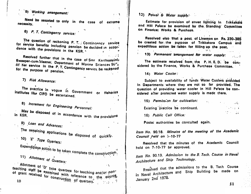5) Working arrangement:

 $\cdots$ 

 $\theta$ 

 $\cdot$  1

Need be resorted to only in the case of extreme necessity.

6) P. T. Contingency service:

The question of reckoning P. T. / Contingency service for service benefits including pension be decided in accordance with the provisions in the KSR.

Resolved further that in the case of Smt Karthiyayinla Sweeper-cum-cleaner. Department of Marine Sciences 50% of her service in the P. T. Contingency service be reckpned for the purpose of pension.

7) Risk Allowance:

The practice in vogue in Government or fisheries institutes like CIFO be ascertained.

8) Increment for Engineering Personnel:

May be disposed of in accordance with the provisions in KSR.

9) Loan and Advances:

The remaining applications be disposed of quickly.

10)  $E'$  Type Quarters:

Expenditious action to be taken complete the construction. 11) Allotment of Quarters:

Allotment of 'D' type quarters for teaching and/or nonteaching staff be examined with reference to the source of grant received for construction of quarters. 12) Polver & Water supply.

Estimate for provision of street lighting in Trikkakärä and Hill Palace be examined by the Standing Committee on Finance: Works & Purchase.

Resolved elso that a post of Lineman on Rs. 230-386 be created for the purpose of Trikkakara Campus and expeditious action be taken for filling up the post.

13) Permenent arrangement for water supply:

The estimate received from the P. H. E. D. be considered by the Finance, Works & Purchase Committee.

14) Water Cooler:

Subject to availability of funds Water Coolers provided in Departments where they are not so far provided. The question of providing water cooler in Hill Palace be considered after protected water supply is made there.

| . 15) Permission for cultivation: | <b>CONTRACTOR</b> CONTRACTOR                                                                                      |
|-----------------------------------|-------------------------------------------------------------------------------------------------------------------|
| Existing practice be continued.   | $\mathcal{L}^{\mathcal{L}}(\mathcal{L}^{\mathcal{L}})$ and $\mathcal{L}^{\mathcal{L}}(\mathcal{L}^{\mathcal{L}})$ |
| 16) Public Call Office:           | $\mathcal{L}(\mathcal{L})$ and $\mathcal{L}(\mathcal{L})$                                                         |

Postal authorities be conculted again.

Item No. 90.18. Minutes of the meeting of the Academic Council held on 7-10-77

Resolved that the minutes of the Academic Council held on 7-10-77 be approved.

Item No. 90.19. Admission to the B. Tech. Course in Naval Architecture and Ship Technology.

Resolved that the admissions to the B. Tech Course in Naval Architecture and Ship Building be made on January 2nd 1978.